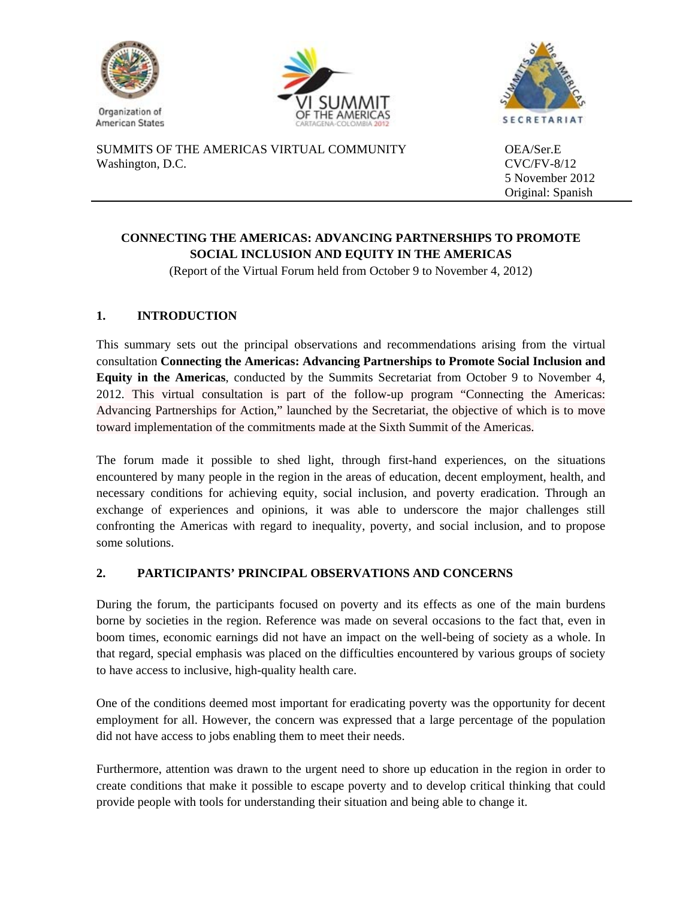





SUMMITS OF THE AMERICAS VIRTUAL COMMUNITY OEA/Ser.E Washington, D.C. CVC/FV-8/12

5 November 2012 Original: Spanish

## **CONNECTING THE AMERICAS: ADVANCING PARTNERSHIPS TO PROMOTE SOCIAL INCLUSION AND EQUITY IN THE AMERICAS**

(Report of the Virtual Forum held from October 9 to November 4, 2012)

## **1. INTRODUCTION**

This summary sets out the principal observations and recommendations arising from the virtual consultation **Connecting the Americas: Advancing Partnerships to Promote Social Inclusion and Equity in the Americas**, conducted by the Summits Secretariat from October 9 to November 4, 2012. This virtual consultation is part of the follow-up program "Connecting the Americas: Advancing Partnerships for Action," launched by the Secretariat, the objective of which is to move toward implementation of the commitments made at the Sixth Summit of the Americas.

The forum made it possible to shed light, through first-hand experiences, on the situations encountered by many people in the region in the areas of education, decent employment, health, and necessary conditions for achieving equity, social inclusion, and poverty eradication. Through an exchange of experiences and opinions, it was able to underscore the major challenges still confronting the Americas with regard to inequality, poverty, and social inclusion, and to propose some solutions.

## **2. PARTICIPANTS' PRINCIPAL OBSERVATIONS AND CONCERNS**

During the forum, the participants focused on poverty and its effects as one of the main burdens borne by societies in the region. Reference was made on several occasions to the fact that, even in boom times, economic earnings did not have an impact on the well-being of society as a whole. In that regard, special emphasis was placed on the difficulties encountered by various groups of society to have access to inclusive, high-quality health care.

One of the conditions deemed most important for eradicating poverty was the opportunity for decent employment for all. However, the concern was expressed that a large percentage of the population did not have access to jobs enabling them to meet their needs.

Furthermore, attention was drawn to the urgent need to shore up education in the region in order to create conditions that make it possible to escape poverty and to develop critical thinking that could provide people with tools for understanding their situation and being able to change it.